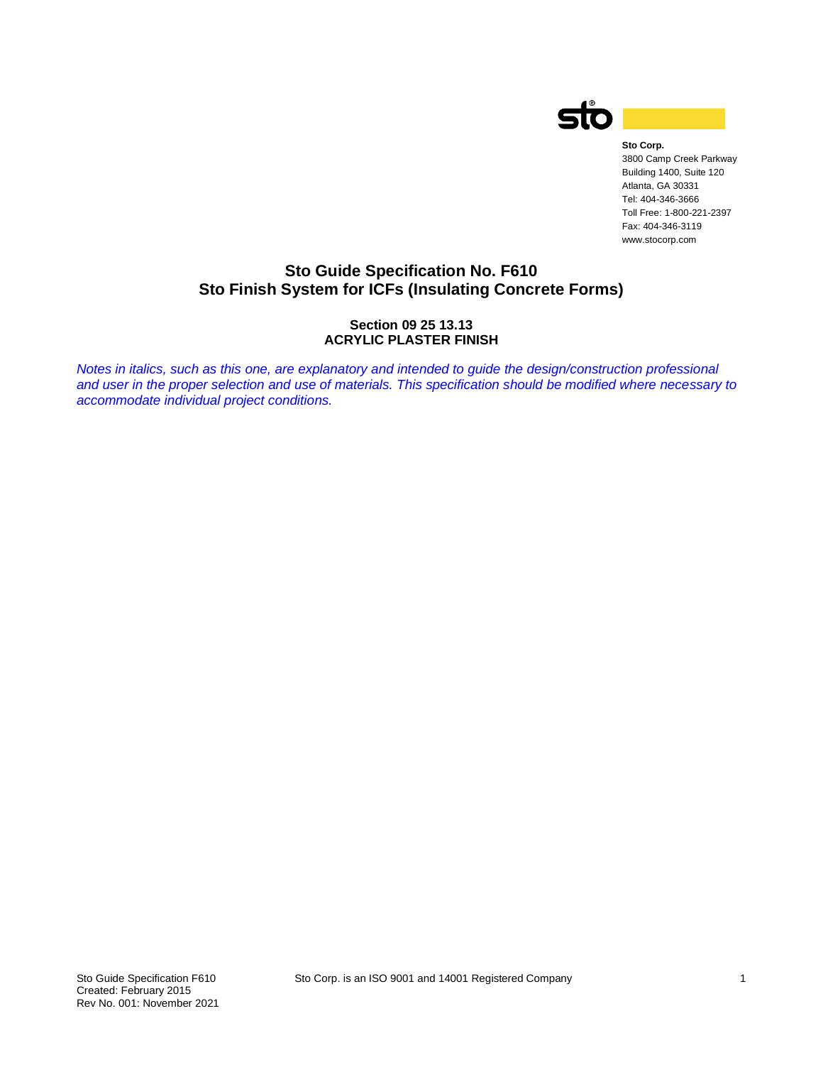

**Sto Corp.** 3800 Camp Creek Parkway Building 1400, Suite 120 Atlanta, GA 30331 Tel: 404-346-3666 Toll Free: 1-800-221-2397 Fax: 404-346-3119 www.stocorp.com

# **Sto Guide Specification No. F610 Sto Finish System for ICFs (Insulating Concrete Forms)**

#### **Section 09 25 13.13 ACRYLIC PLASTER FINISH**

*Notes in italics, such as this one, are explanatory and intended to guide the design/construction professional and user in the proper selection and use of materials. This specification should be modified where necessary to accommodate individual project conditions.*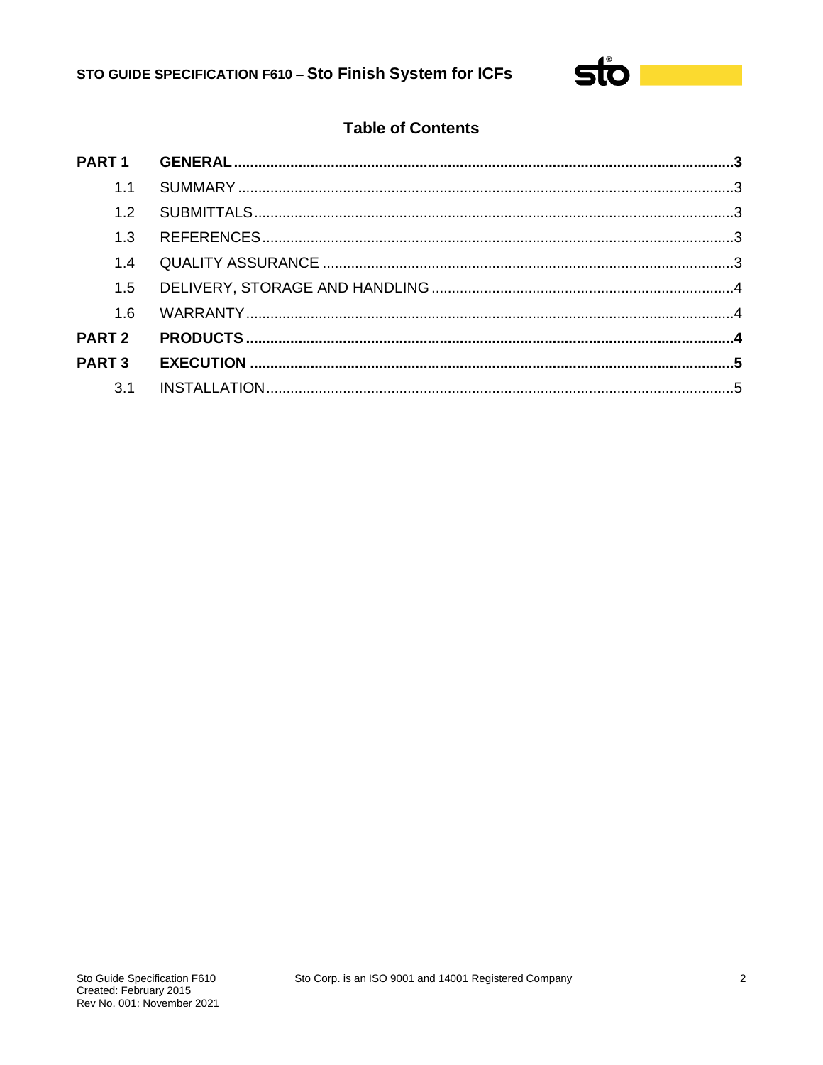

# **Table of Contents**

| 1.1               |  |
|-------------------|--|
| 1.2               |  |
| 1.3               |  |
| 1.4               |  |
| 1.5               |  |
| 1.6               |  |
| <b>PART 2</b>     |  |
| PART <sub>3</sub> |  |
| 3.1               |  |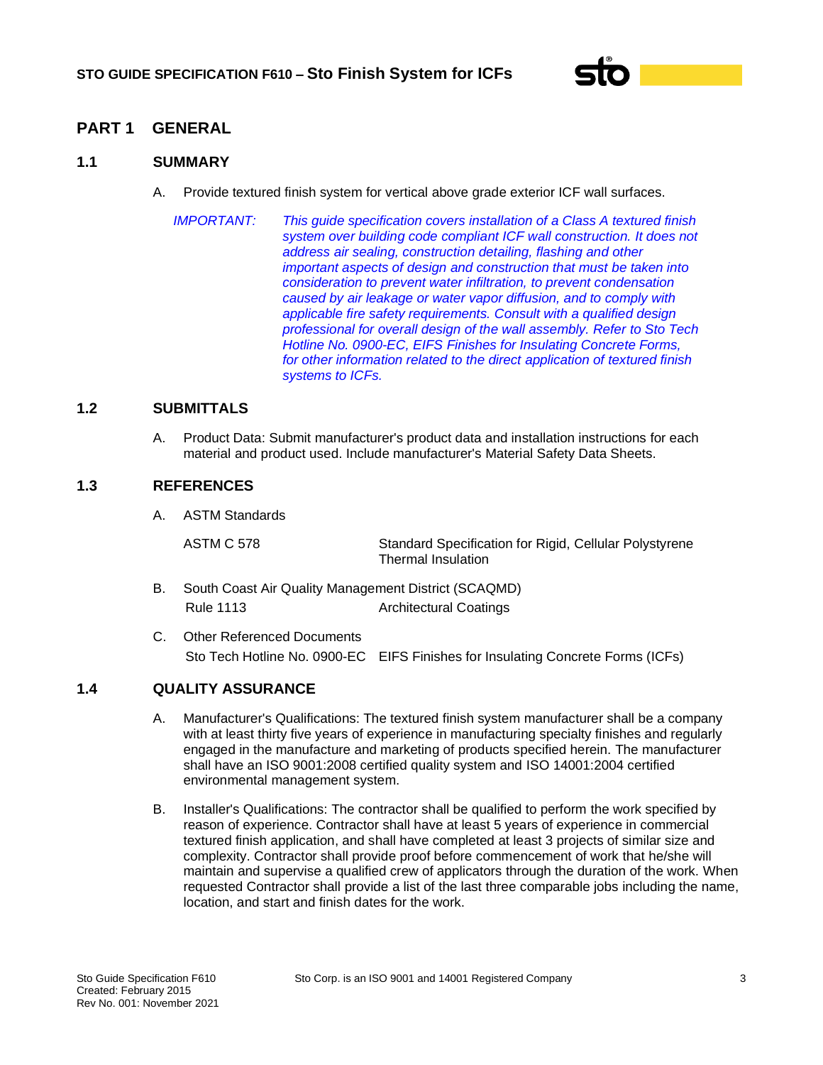

# **PART 1 GENERAL**

#### **1.1 SUMMARY**

A. Provide textured finish system for vertical above grade exterior ICF wall surfaces.

*IMPORTANT: This guide specification covers installation of a Class A textured finish system over building code compliant ICF wall construction. It does not address air sealing, construction detailing, flashing and other important aspects of design and construction that must be taken into consideration to prevent water infiltration, to prevent condensation caused by air leakage or water vapor diffusion, and to comply with applicable fire safety requirements. Consult with a qualified design professional for overall design of the wall assembly. Refer to Sto Tech Hotline No. 0900-EC, EIFS Finishes for Insulating Concrete Forms, for other information related to the direct application of textured finish systems to ICFs.*

### **1.2 SUBMITTALS**

A. Product Data: Submit manufacturer's product data and installation instructions for each material and product used. Include manufacturer's Material Safety Data Sheets.

#### **1.3 REFERENCES**

A. ASTM Standards

ASTM C 578 Standard Specification for Rigid, Cellular Polystyrene Thermal Insulation

- B. South Coast Air Quality Management District (SCAQMD) Rule 1113 **Architectural Coatings**
- C. Other Referenced Documents Sto Tech Hotline No. 0900-EC EIFS Finishes for Insulating Concrete Forms (ICFs)

### **1.4 QUALITY ASSURANCE**

- A. Manufacturer's Qualifications: The textured finish system manufacturer shall be a company with at least thirty five years of experience in manufacturing specialty finishes and regularly engaged in the manufacture and marketing of products specified herein. The manufacturer shall have an ISO 9001:2008 certified quality system and ISO 14001:2004 certified environmental management system.
- B. Installer's Qualifications: The contractor shall be qualified to perform the work specified by reason of experience. Contractor shall have at least 5 years of experience in commercial textured finish application, and shall have completed at least 3 projects of similar size and complexity. Contractor shall provide proof before commencement of work that he/she will maintain and supervise a qualified crew of applicators through the duration of the work. When requested Contractor shall provide a list of the last three comparable jobs including the name, location, and start and finish dates for the work.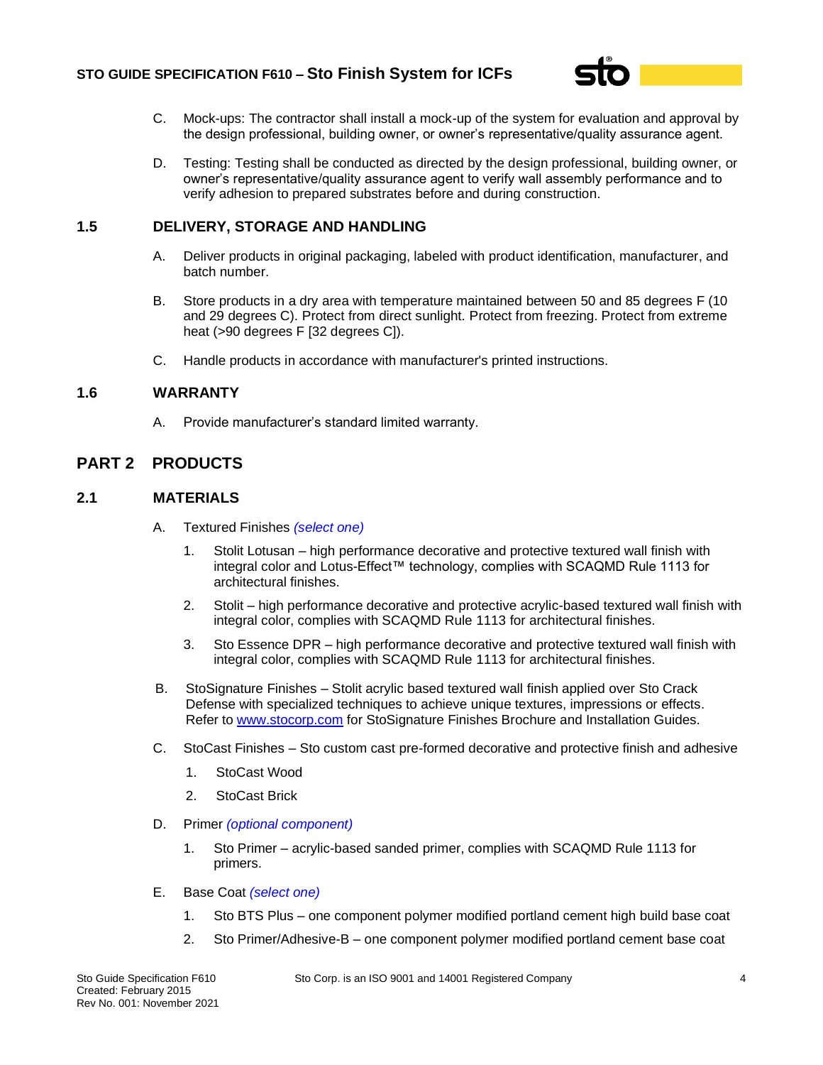

- C. Mock-ups: The contractor shall install a mock-up of the system for evaluation and approval by the design professional, building owner, or owner's representative/quality assurance agent.
- D. Testing: Testing shall be conducted as directed by the design professional, building owner, or owner's representative/quality assurance agent to verify wall assembly performance and to verify adhesion to prepared substrates before and during construction.

#### **1.5 DELIVERY, STORAGE AND HANDLING**

- A. Deliver products in original packaging, labeled with product identification, manufacturer, and batch number.
- B. Store products in a dry area with temperature maintained between 50 and 85 degrees F (10 and 29 degrees C). Protect from direct sunlight. Protect from freezing. Protect from extreme heat (>90 degrees F [32 degrees C]).
- C. Handle products in accordance with manufacturer's printed instructions.

#### **1.6 WARRANTY**

A. Provide manufacturer's standard limited warranty.

# **PART 2 PRODUCTS**

### **2.1 MATERIALS**

- A. Textured Finishes *(select one)*
	- 1. Stolit Lotusan high performance decorative and protective textured wall finish with integral color and Lotus-Effect™ technology, complies with SCAQMD Rule 1113 for architectural finishes.
	- 2. Stolit high performance decorative and protective acrylic-based textured wall finish with integral color, complies with SCAQMD Rule 1113 for architectural finishes.
	- 3. Sto Essence DPR high performance decorative and protective textured wall finish with integral color, complies with SCAQMD Rule 1113 for architectural finishes.
- B. StoSignature Finishes Stolit acrylic based textured wall finish applied over Sto Crack Defense with specialized techniques to achieve unique textures, impressions or effects. Refer to [www.stocorp.com](http://www.stocorp.com/) for StoSignature Finishes Brochure and Installation Guides.
- C. StoCast Finishes Sto custom cast pre-formed decorative and protective finish and adhesive
	- 1. StoCast Wood
	- 2. StoCast Brick
- D. Primer *(optional component)*
	- 1. Sto Primer acrylic-based sanded primer, complies with SCAQMD Rule 1113 for primers.
- E. Base Coat *(select one)*
	- 1. Sto BTS Plus one component polymer modified portland cement high build base coat
	- 2. Sto Primer/Adhesive-B one component polymer modified portland cement base coat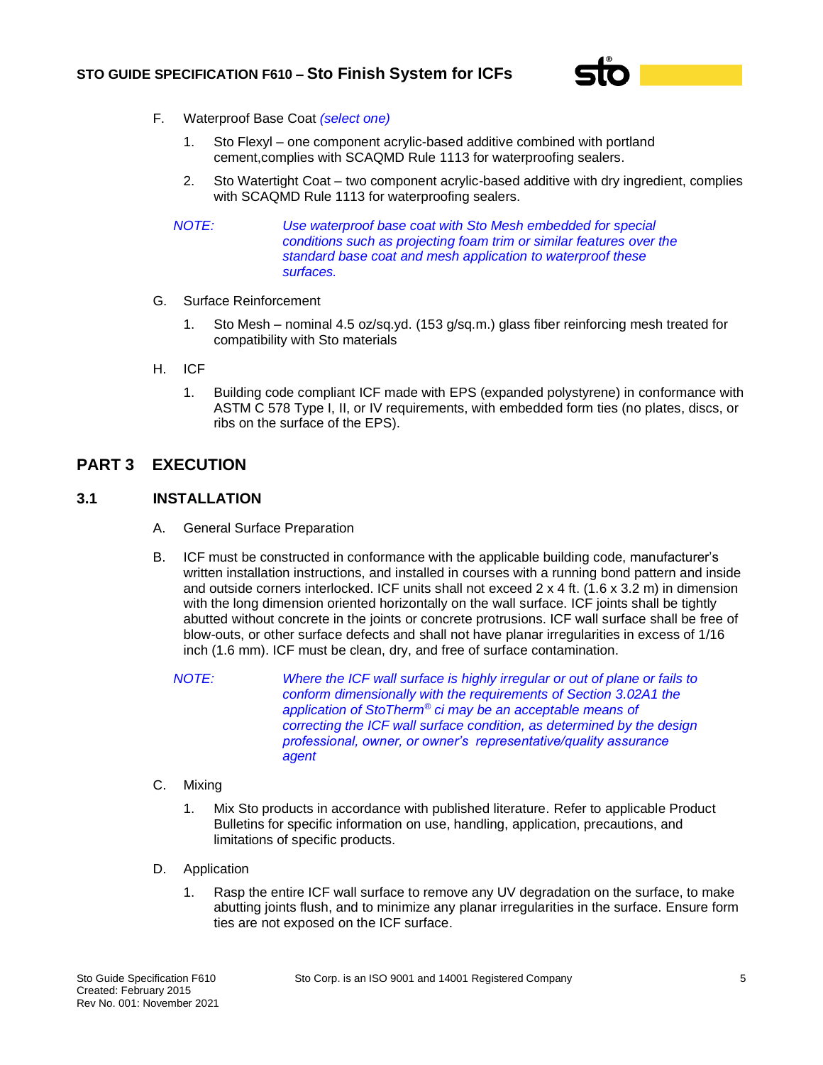

- F. Waterproof Base Coat *(select one)*
	- 1. Sto Flexyl one component acrylic-based additive combined with portland cement,complies with SCAQMD Rule 1113 for waterproofing sealers.
	- 2. Sto Watertight Coat two component acrylic-based additive with dry ingredient, complies with SCAQMD Rule 1113 for waterproofing sealers.

*NOTE: Use waterproof base coat with Sto Mesh embedded for special conditions such as projecting foam trim or similar features over the standard base coat and mesh application to waterproof these surfaces.* 

- G. Surface Reinforcement
	- 1. Sto Mesh nominal 4.5 oz/sq.yd. (153 g/sq.m.) glass fiber reinforcing mesh treated for compatibility with Sto materials
- H. ICF
	- 1. Building code compliant ICF made with EPS (expanded polystyrene) in conformance with ASTM C 578 Type I, II, or IV requirements, with embedded form ties (no plates, discs, or ribs on the surface of the EPS).

# **PART 3 EXECUTION**

### **3.1 INSTALLATION**

- A. General Surface Preparation
- B. ICF must be constructed in conformance with the applicable building code, manufacturer's written installation instructions, and installed in courses with a running bond pattern and inside and outside corners interlocked. ICF units shall not exceed 2 x 4 ft. (1.6 x 3.2 m) in dimension with the long dimension oriented horizontally on the wall surface. ICF joints shall be tightly abutted without concrete in the joints or concrete protrusions. ICF wall surface shall be free of blow-outs, or other surface defects and shall not have planar irregularities in excess of 1/16 inch (1.6 mm). ICF must be clean, dry, and free of surface contamination.

*NOTE: Where the ICF wall surface is highly irregular or out of plane or fails to conform dimensionally with the requirements of Section 3.02A1 the application of StoTherm® ci may be an acceptable means of correcting the ICF wall surface condition, as determined by the design professional, owner, or owner's representative/quality assurance agent*

#### C. Mixing

- 1. Mix Sto products in accordance with published literature. Refer to applicable Product Bulletins for specific information on use, handling, application, precautions, and limitations of specific products.
- D. Application
	- 1. Rasp the entire ICF wall surface to remove any UV degradation on the surface, to make abutting joints flush, and to minimize any planar irregularities in the surface. Ensure form ties are not exposed on the ICF surface.